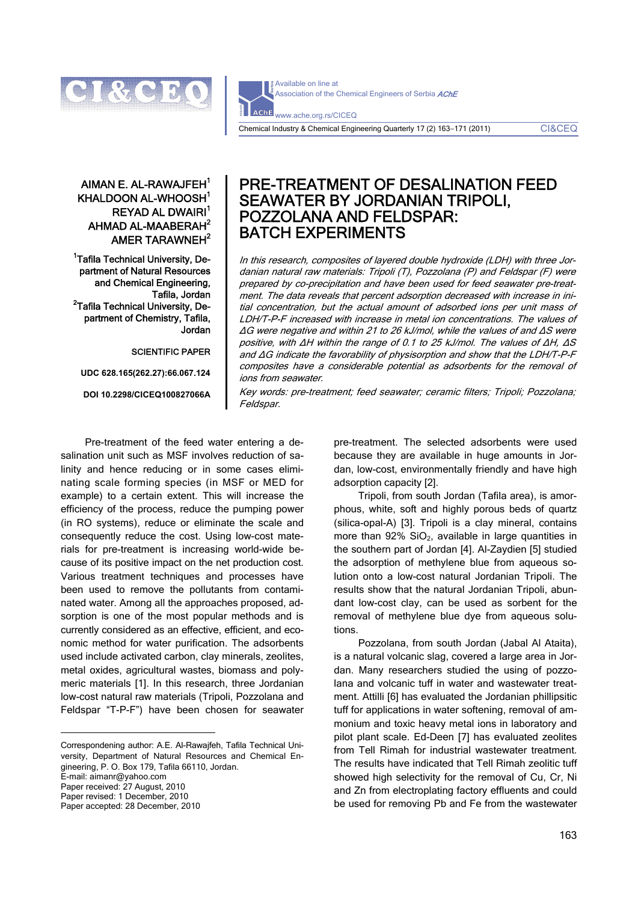

Available on line at Association of the Chemical Engineers of Serbia AChE **AChE** www.ache.org.rs/CICEQ

Chemical Industry & Chemical Engineering Quarterly 17 (2) 163−171 (2011) CI&CEQ

## AIMAN  $F$  AI -RAWA.IFFH $<sup>1</sup>$ </sup> KHALDOON AL-WHOOSH<sup>1</sup> REYAD AL DWAIRI<sup>1</sup> AHMAD AL-MAABERAH $^2$ AMER TARAWNEH $^2$

<sup>1</sup>Tafila Technical University, Department of Natural Resources and Chemical Engineering, Tafila, Jordan<br>-Tafila Technical University, De<sup>2</sup> partment of Chemistry, Tafila, Jordan

#### SCIENTIFIC PAPER

**UDC 628.165(262.27):66.067.124** 

**DOI 10.2298/CICEQ100827066A** 

# PRE-TREATMENT OF DESALINATION FEED SEAWATER BY JORDANIAN TRIPOLI, POZZOLANA AND FELDSPAR: BATCH EXPERIMENTS

In this research, composites of layered double hydroxide (LDH) with three Jordanian natural raw materials: Tripoli (T), Pozzolana (P) and Feldspar (F) were prepared by co-precipitation and have been used for feed seawater pre-treatment. The data reveals that percent adsorption decreased with increase in initial concentration, but the actual amount of adsorbed ions per unit mass of LDH/T-P-F increased with increase in metal ion concentrations. The values of ΔG were negative and within 21 to 26 kJ/mol, while the values of and ΔS were positive, with ΔH within the range of 0.1 to 25 kJ/mol. The values of ΔH, ΔS and ΔG indicate the favorability of physisorption and show that the LDH/T-P-F composites have a considerable potential as adsorbents for the removal of ions from seawater.

Key words: pre-treatment; feed seawater; ceramic filters; Tripoli; Pozzolana; Feldspar.

Pre-treatment of the feed water entering a desalination unit such as MSF involves reduction of salinity and hence reducing or in some cases eliminating scale forming species (in MSF or MED for example) to a certain extent. This will increase the efficiency of the process, reduce the pumping power (in RO systems), reduce or eliminate the scale and consequently reduce the cost. Using low-cost materials for pre-treatment is increasing world-wide because of its positive impact on the net production cost. Various treatment techniques and processes have been used to remove the pollutants from contaminated water. Among all the approaches proposed, adsorption is one of the most popular methods and is currently considered as an effective, efficient, and economic method for water purification. The adsorbents used include activated carbon, clay minerals, zeolites, metal oxides, agricultural wastes, biomass and polymeric materials [1]. In this research, three Jordanian low-cost natural raw materials (Tripoli, Pozzolana and Feldspar "T-P-F") have been chosen for seawater

Correspondening author: A.E. Al-Rawajfeh, Tafila Technical University, Department of Natural Resources and Chemical Engineering, P. O. Box 179, Tafila 66110, Jordan. E-mail: aimanr@yahoo.com Paper received: 27 August, 2010 Paper revised: 1 December, 2010

Paper accepted: 28 December, 2010

 $\overline{a}$ 

pre-treatment. The selected adsorbents were used because they are available in huge amounts in Jordan, low-cost, environmentally friendly and have high adsorption capacity [2].

Tripoli, from south Jordan (Tafila area), is amorphous, white, soft and highly porous beds of quartz (silica-opal-A) [3]. Tripoli is a clay mineral, contains more than  $92\%$  SiO<sub>2</sub>, available in large quantities in the southern part of Jordan [4]. Al-Zaydien [5] studied the adsorption of methylene blue from aqueous solution onto a low-cost natural Jordanian Tripoli. The results show that the natural Jordanian Tripoli, abundant low-cost clay, can be used as sorbent for the removal of methylene blue dye from aqueous solutions.

Pozzolana, from south Jordan (Jabal Al Ataita), is a natural volcanic slag, covered a large area in Jordan. Many researchers studied the using of pozzolana and volcanic tuff in water and wastewater treatment. Attilli [6] has evaluated the Jordanian phillipsitic tuff for applications in water softening, removal of ammonium and toxic heavy metal ions in laboratory and pilot plant scale. Ed-Deen [7] has evaluated zeolites from Tell Rimah for industrial wastewater treatment. The results have indicated that Tell Rimah zeolitic tuff showed high selectivity for the removal of Cu, Cr, Ni and Zn from electroplating factory effluents and could be used for removing Pb and Fe from the wastewater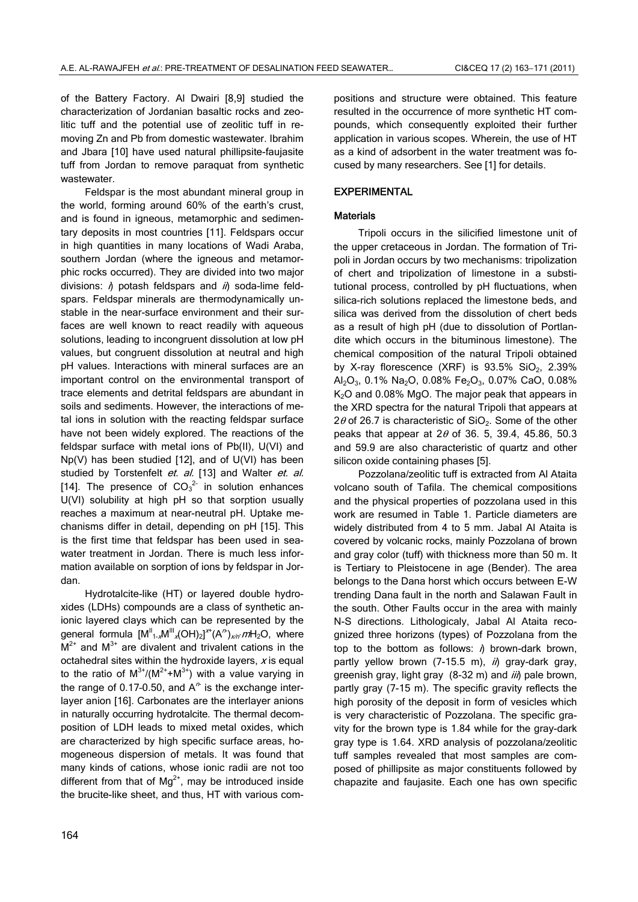of the Battery Factory. Al Dwairi [8,9] studied the characterization of Jordanian basaltic rocks and zeolitic tuff and the potential use of zeolitic tuff in removing Zn and Pb from domestic wastewater. Ibrahim and Jbara [10] have used natural phillipsite-faujasite tuff from Jordan to remove paraquat from synthetic wastewater.

Feldspar is the most abundant mineral group in the world, forming around 60% of the earth's crust, and is found in igneous, metamorphic and sedimentary deposits in most countries [11]. Feldspars occur in high quantities in many locations of Wadi Araba, southern Jordan (where the igneous and metamorphic rocks occurred). They are divided into two major divisions:  $\hat{\theta}$  potash feldspars and  $\hat{\theta}$  soda-lime feldspars. Feldspar minerals are thermodynamically unstable in the near-surface environment and their surfaces are well known to react readily with aqueous solutions, leading to incongruent dissolution at low pH values, but congruent dissolution at neutral and high pH values. Interactions with mineral surfaces are an important control on the environmental transport of trace elements and detrital feldspars are abundant in soils and sediments. However, the interactions of metal ions in solution with the reacting feldspar surface have not been widely explored. The reactions of the feldspar surface with metal ions of Pb(II), U(VI) and Np(V) has been studied [12], and of U(VI) has been studied by Torstenfelt et. al. [13] and Walter et. al. [14]. The presence of  $CO_3^2$  in solution enhances U(VI) solubility at high pH so that sorption usually reaches a maximum at near-neutral pH. Uptake mechanisms differ in detail, depending on pH [15]. This is the first time that feldspar has been used in seawater treatment in Jordan. There is much less information available on sorption of ions by feldspar in Jordan.

Hydrotalcite-like (HT) or layered double hydroxides (LDHs) compounds are a class of synthetic anionic layered clays which can be represented by the general formula  $[M^{\parallel}_{1\times}M^{\parallel \parallel}_{\times}(OH)_2]^{\times \times}(A^{\prime \prime})_{\times \prime \prime}$  mH<sub>2</sub>O, where  $M^{2+}$  and  $M^{3+}$  are divalent and trivalent cations in the octahedral sites within the hydroxide layers,  $x$  is equal to the ratio of  $M^{3+}/(M^{2+}+M^{3+})$  with a value varying in the range of 0.17-0.50, and  $A^h$  is the exchange interlayer anion [16]. Carbonates are the interlayer anions in naturally occurring hydrotalcite. The thermal decomposition of LDH leads to mixed metal oxides, which are characterized by high specific surface areas, homogeneous dispersion of metals. It was found that many kinds of cations, whose ionic radii are not too different from that of  $Mq^{2+}$ , may be introduced inside the brucite-like sheet, and thus, HT with various compositions and structure were obtained. This feature resulted in the occurrence of more synthetic HT compounds, which consequently exploited their further application in various scopes. Wherein, the use of HT as a kind of adsorbent in the water treatment was focused by many researchers. See [1] for details.

## EXPERIMENTAL

## **Materials**

Tripoli occurs in the silicified limestone unit of the upper cretaceous in Jordan. The formation of Tripoli in Jordan occurs by two mechanisms: tripolization of chert and tripolization of limestone in a substitutional process, controlled by pH fluctuations, when silica-rich solutions replaced the limestone beds, and silica was derived from the dissolution of chert beds as a result of high pH (due to dissolution of Portlandite which occurs in the bituminous limestone). The chemical composition of the natural Tripoli obtained by X-ray florescence  $(XRF)$  is 93.5% SiO<sub>2</sub>, 2.39% Al<sub>2</sub>O<sub>3</sub>, 0.1% Na<sub>2</sub>O, 0.08% Fe<sub>2</sub>O<sub>3</sub>, 0.07% CaO, 0.08% K<sub>2</sub>O and 0.08% MgO. The major peak that appears in the XRD spectra for the natural Tripoli that appears at 2 $\theta$  of 26.7 is characteristic of SiO<sub>2</sub>. Some of the other peaks that appear at  $2\theta$  of 36. 5, 39.4, 45.86, 50.3 and 59.9 are also characteristic of quartz and other silicon oxide containing phases [5].

Pozzolana/zeolitic tuff is extracted from Al Ataita volcano south of Tafila. The chemical compositions and the physical properties of pozzolana used in this work are resumed in Table 1. Particle diameters are widely distributed from 4 to 5 mm. Jabal Al Ataita is covered by volcanic rocks, mainly Pozzolana of brown and gray color (tuff) with thickness more than 50 m. It is Tertiary to Pleistocene in age (Bender). The area belongs to the Dana horst which occurs between E-W trending Dana fault in the north and Salawan Fault in the south. Other Faults occur in the area with mainly N-S directions. Lithologicaly, Jabal Al Ataita recognized three horizons (types) of Pozzolana from the top to the bottom as follows:  $\eta$  brown-dark brown, partly yellow brown  $(7-15.5 \text{ m})$ , ii) gray-dark gray, greenish gray, light gray  $(8-32 \text{ m})$  and  $\ddot{i}i$ ) pale brown, partly gray (7-15 m). The specific gravity reflects the high porosity of the deposit in form of vesicles which is very characteristic of Pozzolana. The specific gravity for the brown type is 1.84 while for the gray-dark gray type is 1.64. XRD analysis of pozzolana/zeolitic tuff samples revealed that most samples are composed of phillipsite as major constituents followed by chapazite and faujasite. Each one has own specific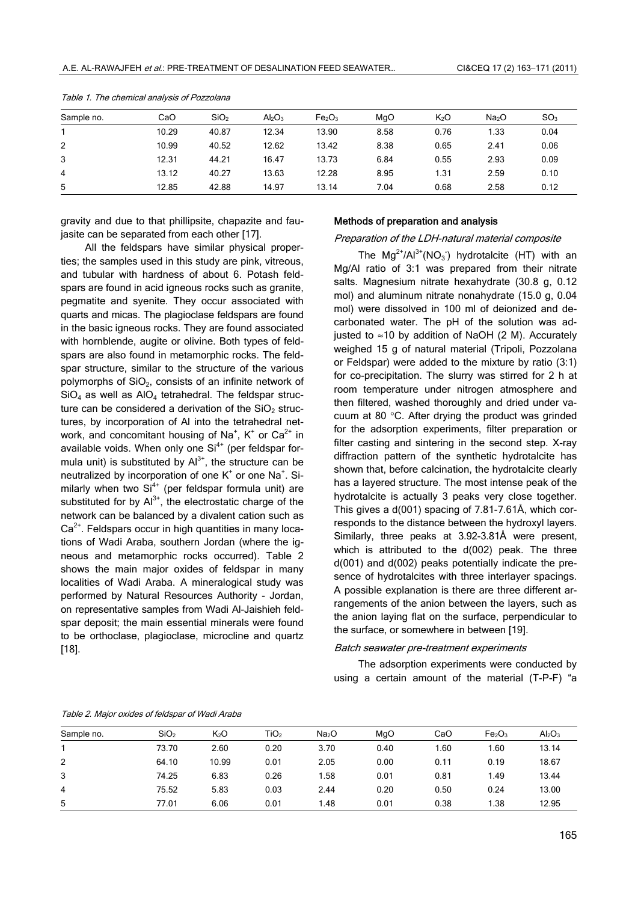| Sample no. | CaO   | SiO <sub>2</sub> | $Al_2O_3$ | Fe <sub>2</sub> O <sub>3</sub> | MgO  | $K_2O$ | Na <sub>2</sub> O | SO <sub>3</sub> |
|------------|-------|------------------|-----------|--------------------------------|------|--------|-------------------|-----------------|
|            | 10.29 | 40.87            | 12.34     | 13.90                          | 8.58 | 0.76   | 1.33              | 0.04            |
| 2          | 10.99 | 40.52            | 12.62     | 13.42                          | 8.38 | 0.65   | 2.41              | 0.06            |
| 3          | 12.31 | 44.21            | 16.47     | 13.73                          | 6.84 | 0.55   | 2.93              | 0.09            |
| 4          | 13.12 | 40.27            | 13.63     | 12.28                          | 8.95 | 1.31   | 2.59              | 0.10            |
| 5          | 12.85 | 42.88            | 14.97     | 13.14                          | 7.04 | 0.68   | 2.58              | 0.12            |

Table 1. The chemical analysis of Pozzolana

gravity and due to that phillipsite, chapazite and faujasite can be separated from each other [17].

All the feldspars have similar physical properties; the samples used in this study are pink, vitreous, and tubular with hardness of about 6. Potash feldspars are found in acid igneous rocks such as granite, pegmatite and syenite. They occur associated with quarts and micas. The plagioclase feldspars are found in the basic igneous rocks. They are found associated with hornblende, augite or olivine. Both types of feldspars are also found in metamorphic rocks. The feldspar structure, similar to the structure of the various polymorphs of  $SiO<sub>2</sub>$ , consists of an infinite network of  $SiO<sub>4</sub>$  as well as  $AlO<sub>4</sub>$  tetrahedral. The feldspar structure can be considered a derivation of the  $SiO<sub>2</sub>$  structures, by incorporation of Al into the tetrahedral network, and concomitant housing of Na<sup>+</sup>, K<sup>+</sup> or Ca<sup>2+</sup> in available voids. When only one  $Si<sup>4+</sup>$  (per feldspar formula unit) is substituted by  $Al^{3+}$ , the structure can be neutralized by incorporation of one  $K^*$  or one Na<sup>+</sup>. Similarly when two  $Si<sup>4+</sup>$  (per feldspar formula unit) are substituted for by  $Al^{3+}$ , the electrostatic charge of the network can be balanced by a divalent cation such as  $Ca<sup>2+</sup>$ . Feldspars occur in high quantities in many locations of Wadi Araba, southern Jordan (where the igneous and metamorphic rocks occurred). Table 2 shows the main major oxides of feldspar in many localities of Wadi Araba. A mineralogical study was performed by Natural Resources Authority - Jordan, on representative samples from Wadi Al-Jaishieh feldspar deposit; the main essential minerals were found to be orthoclase, plagioclase, microcline and quartz [18].

#### Methods of preparation and analysis

## Preparation of the LDH-natural material composite

The  $Mg^{2+}/Al^{3+}(NO_3)$  hydrotalcite (HT) with an Mg/Al ratio of 3:1 was prepared from their nitrate salts. Magnesium nitrate hexahydrate (30.8 g, 0.12 mol) and aluminum nitrate nonahydrate (15.0 g, 0.04 mol) were dissolved in 100 ml of deionized and decarbonated water. The pH of the solution was adjusted to ≈10 by addition of NaOH  $(2 M)$ . Accurately weighed 15 g of natural material (Tripoli, Pozzolana or Feldspar) were added to the mixture by ratio (3:1) for co-precipitation. The slurry was stirred for 2 h at room temperature under nitrogen atmosphere and then filtered, washed thoroughly and dried under vacuum at 80 °C. After drying the product was grinded for the adsorption experiments, filter preparation or filter casting and sintering in the second step. X-ray diffraction pattern of the synthetic hydrotalcite has shown that, before calcination, the hydrotalcite clearly has a layered structure. The most intense peak of the hydrotalcite is actually 3 peaks very close together. This gives a d(001) spacing of 7.81-7.61Å, which corresponds to the distance between the hydroxyl layers. Similarly, three peaks at 3.92-3.81Å were present, which is attributed to the d(002) peak. The three d(001) and d(002) peaks potentially indicate the presence of hydrotalcites with three interlayer spacings. A possible explanation is there are three different arrangements of the anion between the layers, such as the anion laying flat on the surface, perpendicular to the surface, or somewhere in between [19].

#### Batch seawater pre-treatment experiments

The adsorption experiments were conducted by using a certain amount of the material (T-P-F) "a

| Sample no. | SiO <sub>2</sub> | K <sub>2</sub> O | TiO <sub>2</sub> | Na <sub>2</sub> O | MgO  | CaO  | Fe <sub>2</sub> O <sub>3</sub> | $Al_2O_3$ |
|------------|------------------|------------------|------------------|-------------------|------|------|--------------------------------|-----------|
|            | 73.70            | 2.60             | 0.20             | 3.70              | 0.40 | 1.60 | 1.60                           | 13.14     |
| 2          | 64.10            | 10.99            | 0.01             | 2.05              | 0.00 | 0.11 | 0.19                           | 18.67     |
| 3          | 74.25            | 6.83             | 0.26             | 1.58              | 0.01 | 0.81 | 1.49                           | 13.44     |
| 4          | 75.52            | 5.83             | 0.03             | 2.44              | 0.20 | 0.50 | 0.24                           | 13.00     |
| 5          | 77.01            | 6.06             | 0.01             | 1.48              | 0.01 | 0.38 | 1.38                           | 12.95     |

Table 2. Major oxides of feldspar of Wadi Araba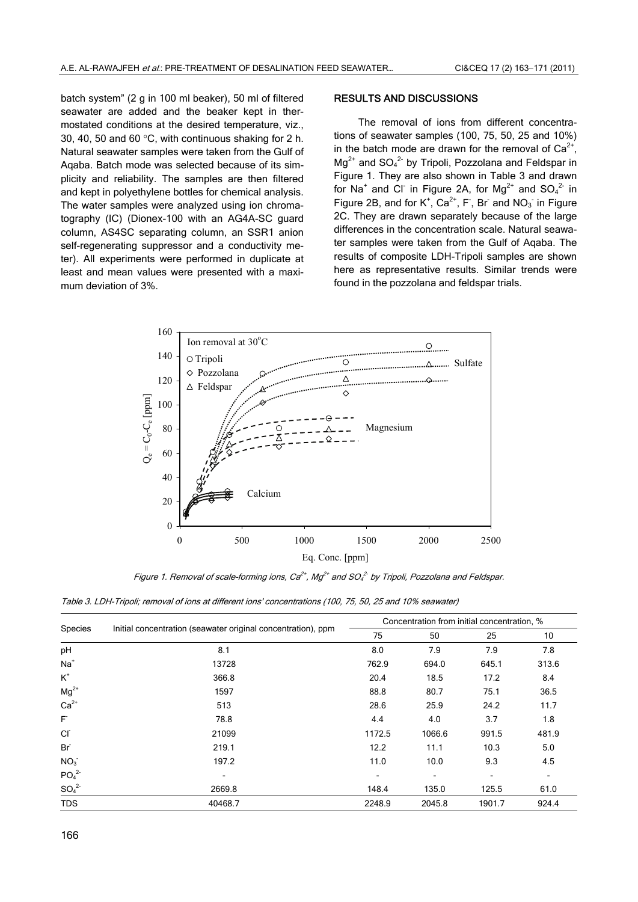batch system" (2 g in 100 ml beaker), 50 ml of filtered seawater are added and the beaker kept in thermostated conditions at the desired temperature, viz., 30, 40, 50 and 60 °C, with continuous shaking for 2 h. Natural seawater samples were taken from the Gulf of Aqaba. Batch mode was selected because of its simplicity and reliability. The samples are then filtered and kept in polyethylene bottles for chemical analysis. The water samples were analyzed using ion chromatography (IC) (Dionex-100 with an AG4A-SC guard column, AS4SC separating column, an SSR1 anion self-regenerating suppressor and a conductivity meter). All experiments were performed in duplicate at least and mean values were presented with a maximum deviation of 3%.

### RESULTS AND DISCUSSIONS

The removal of ions from different concentrations of seawater samples (100, 75, 50, 25 and 10%) in the batch mode are drawn for the removal of  $Ca^{2+}$ ,  $Mg^{2+}$  and  $SO_4{}^{2-}$  by Tripoli, Pozzolana and Feldspar in Figure 1. They are also shown in Table 3 and drawn for Na<sup>+</sup> and Cl<sup>-</sup> in Figure 2A, for Mg<sup>2+</sup> and SO<sub>4</sub><sup>2-</sup> in Figure 2B, and for  $K^+$ ,  $Ca^{2+}$ , F<sup>-</sup>, Br<sup>-</sup> and NO<sub>3</sub><sup>-</sup> in Figure 2C. They are drawn separately because of the large differences in the concentration scale. Natural seawater samples were taken from the Gulf of Aqaba. The results of composite LDH-Tripoli samples are shown here as representative results. Similar trends were found in the pozzolana and feldspar trials.



Figure 1. Removal of scale-forming ions, Ca $^{2+}$ , Mg $^{2+}$  and SO $^{2-}_4$  by Tripoli, Pozzolana and Feldspar.

Table 3. LDH-Tripoli; removal of ions at different ions' concentrations (100, 75, 50, 25 and 10% seawater)

| Species                      |                                                              | Concentration from initial concentration, % |                          |                          |                          |  |
|------------------------------|--------------------------------------------------------------|---------------------------------------------|--------------------------|--------------------------|--------------------------|--|
|                              | Initial concentration (seawater original concentration), ppm | 75                                          | 50                       | 25                       | 10                       |  |
| pH                           | 8.1                                                          | 8.0                                         | 7.9                      | 7.9                      | 7.8                      |  |
| $Na+$                        | 13728                                                        | 762.9                                       | 694.0                    | 645.1                    | 313.6                    |  |
| $\mbox{K}^*$                 | 366.8                                                        | 20.4                                        | 18.5                     | 17.2                     | 8.4                      |  |
| $Mg^{2+}$                    | 1597                                                         | 88.8                                        | 80.7                     | 75.1                     | 36.5                     |  |
| $Ca2+$                       | 513                                                          | 28.6                                        | 25.9                     | 24.2                     | 11.7                     |  |
| F                            | 78.8                                                         | 4.4                                         | 4.0                      | 3.7                      | 1.8                      |  |
| <b>CI</b>                    | 21099                                                        | 1172.5                                      | 1066.6                   | 991.5                    | 481.9                    |  |
| Br                           | 219.1                                                        | 12.2                                        | 11.1                     | 10.3                     | 5.0                      |  |
| NO <sub>3</sub>              | 197.2                                                        | 11.0                                        | 10.0                     | 9.3                      | 4.5                      |  |
| PO <sub>4</sub> <sup>2</sup> | Ξ.                                                           | -                                           | $\overline{\phantom{0}}$ | $\overline{\phantom{a}}$ | $\overline{\phantom{a}}$ |  |
| SO <sub>4</sub> <sup>2</sup> | 2669.8                                                       | 148.4                                       | 135.0                    | 125.5                    | 61.0                     |  |
| <b>TDS</b>                   | 40468.7                                                      | 2248.9                                      | 2045.8                   | 1901.7                   | 924.4                    |  |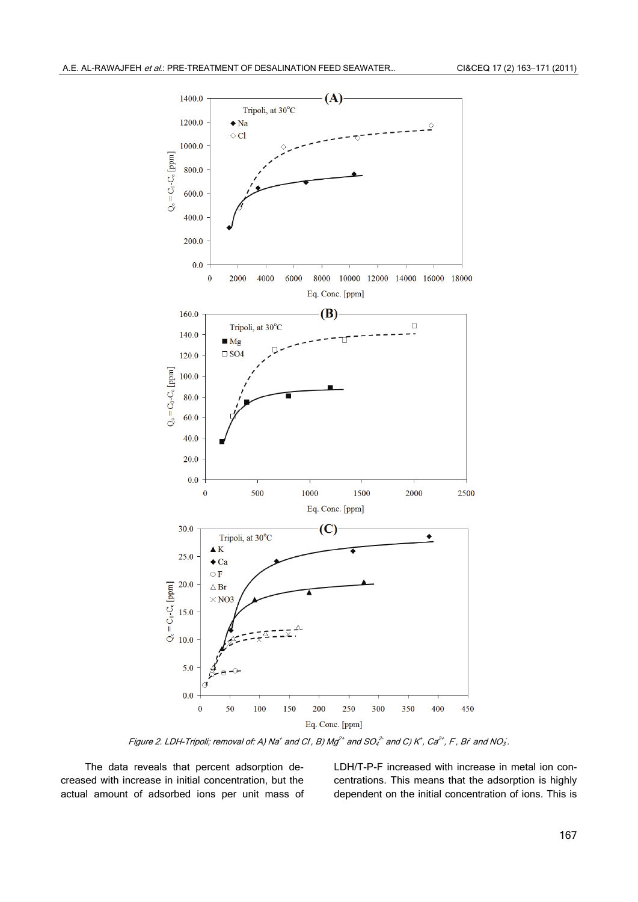

Figure 2. LDH-Tripoli; removal of: A) Na $^+$  and CI , B) Mg $^{2+}$  and SO $^{2-}_4$  and C) K $^+$  , Ca $^{2+}$  , F , Br and NO $_3$  .

The data reveals that percent adsorption decreased with increase in initial concentration, but the actual amount of adsorbed ions per unit mass of LDH/T-P-F increased with increase in metal ion concentrations. This means that the adsorption is highly dependent on the initial concentration of ions. This is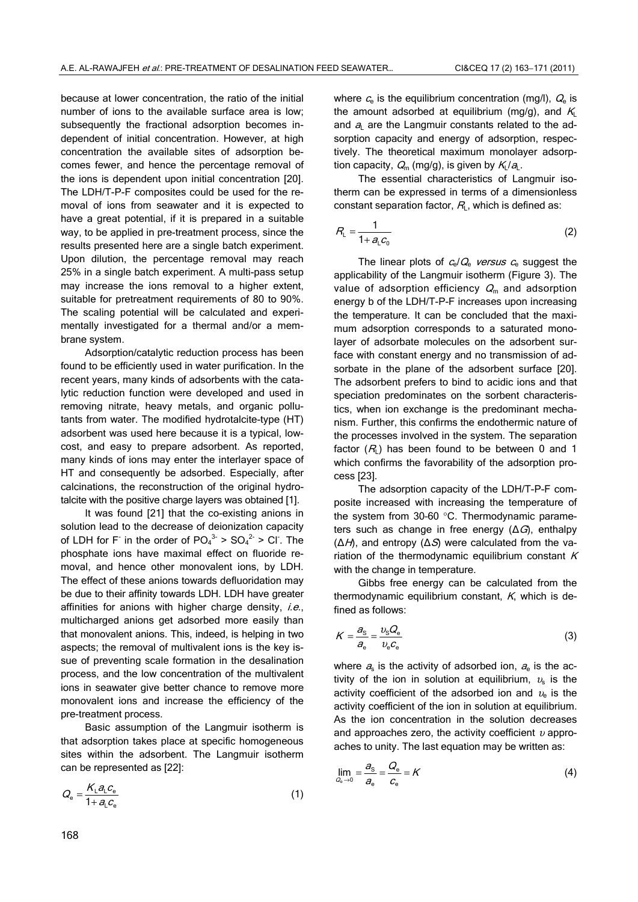because at lower concentration, the ratio of the initial number of ions to the available surface area is low; subsequently the fractional adsorption becomes independent of initial concentration. However, at high concentration the available sites of adsorption becomes fewer, and hence the percentage removal of the ions is dependent upon initial concentration [20]. The LDH/T-P-F composites could be used for the removal of ions from seawater and it is expected to have a great potential, if it is prepared in a suitable way, to be applied in pre-treatment process, since the results presented here are a single batch experiment. Upon dilution, the percentage removal may reach 25% in a single batch experiment. A multi-pass setup may increase the ions removal to a higher extent, suitable for pretreatment requirements of 80 to 90%. The scaling potential will be calculated and experimentally investigated for a thermal and/or a membrane system.

Adsorption/catalytic reduction process has been found to be efficiently used in water purification. In the recent years, many kinds of adsorbents with the catalytic reduction function were developed and used in removing nitrate, heavy metals, and organic pollutants from water. The modified hydrotalcite-type (HT) adsorbent was used here because it is a typical, lowcost, and easy to prepare adsorbent. As reported, many kinds of ions may enter the interlayer space of HT and consequently be adsorbed. Especially, after calcinations, the reconstruction of the original hydrotalcite with the positive charge layers was obtained [1].

It was found [21] that the co-existing anions in solution lead to the decrease of deionization capacity of LDH for F in the order of  $PO_4^{3.} > SO_4^{2.} > Cl$ . The phosphate ions have maximal effect on fluoride removal, and hence other monovalent ions, by LDH. The effect of these anions towards defluoridation may be due to their affinity towards LDH. LDH have greater affinities for anions with higher charge density,  $i.e.,$ multicharged anions get adsorbed more easily than that monovalent anions. This, indeed, is helping in two aspects; the removal of multivalent ions is the key issue of preventing scale formation in the desalination process, and the low concentration of the multivalent ions in seawater give better chance to remove more monovalent ions and increase the efficiency of the pre-treatment process.

Basic assumption of the Langmuir isotherm is that adsorption takes place at specific homogeneous sites within the adsorbent. The Langmuir isotherm can be represented as [22]:

$$
Q_{\rm e} = \frac{K_{\rm L} a_{\rm L} c_{\rm e}}{1 + a_{\rm L} c_{\rm e}}\tag{1}
$$

where  $c_{\rm e}$  is the equilibrium concentration (mg/l),  $Q_{\rm e}$  is the amount adsorbed at equilibrium (mg/g), and  $K<sub>L</sub>$ and  $a$  are the Langmuir constants related to the adsorption capacity and energy of adsorption, respectively. The theoretical maximum monolayer adsorption capacity,  $Q_m$  (mg/g), is given by  $K_l/a_l$ .

The essential characteristics of Langmuir isotherm can be expressed in terms of a dimensionless constant separation factor,  $R_L$ , which is defined as:

$$
R_{\rm L} = \frac{1}{1 + a_{\rm L} c_0} \tag{2}
$$

The linear plots of  $c_e/Q_e$  versus  $c_e$  suggest the applicability of the Langmuir isotherm (Figure 3). The value of adsorption efficiency  $Q<sub>m</sub>$  and adsorption energy b of the LDH/T-P-F increases upon increasing the temperature. It can be concluded that the maximum adsorption corresponds to a saturated monolayer of adsorbate molecules on the adsorbent surface with constant energy and no transmission of adsorbate in the plane of the adsorbent surface [20]. The adsorbent prefers to bind to acidic ions and that speciation predominates on the sorbent characteristics, when ion exchange is the predominant mechanism. Further, this confirms the endothermic nature of the processes involved in the system. The separation factor  $(R<sub>L</sub>)$  has been found to be between 0 and 1 which confirms the favorability of the adsorption process [23].

The adsorption capacity of the LDH/T-P-F composite increased with increasing the temperature of the system from 30–60 °C. Thermodynamic parameters such as change in free energy  $(\Delta G)$ , enthalpy  $(\Delta H)$ , and entropy  $(\Delta S)$  were calculated from the variation of the thermodynamic equilibrium constant  $K$ with the change in temperature.

Gibbs free energy can be calculated from the thermodynamic equilibrium constant,  $K$ , which is defined as follows:

$$
K = \frac{a_{\rm s}}{a_{\rm e}} = \frac{v_{\rm s} Q_{\rm e}}{v_{\rm e} c_{\rm e}}\tag{3}
$$

where  $a_s$  is the activity of adsorbed ion,  $a_e$  is the activity of the ion in solution at equilibrium,  $v<sub>s</sub>$  is the activity coefficient of the adsorbed ion and  $v_{e}$  is the activity coefficient of the ion in solution at equilibrium. As the ion concentration in the solution decreases and approaches zero, the activity coefficient  $\nu$  approaches to unity. The last equation may be written as:

$$
\lim_{Q_{\rm e}\to 0} = \frac{a_{\rm s}}{a_{\rm e}} = \frac{Q_{\rm e}}{c_{\rm e}} = K \tag{4}
$$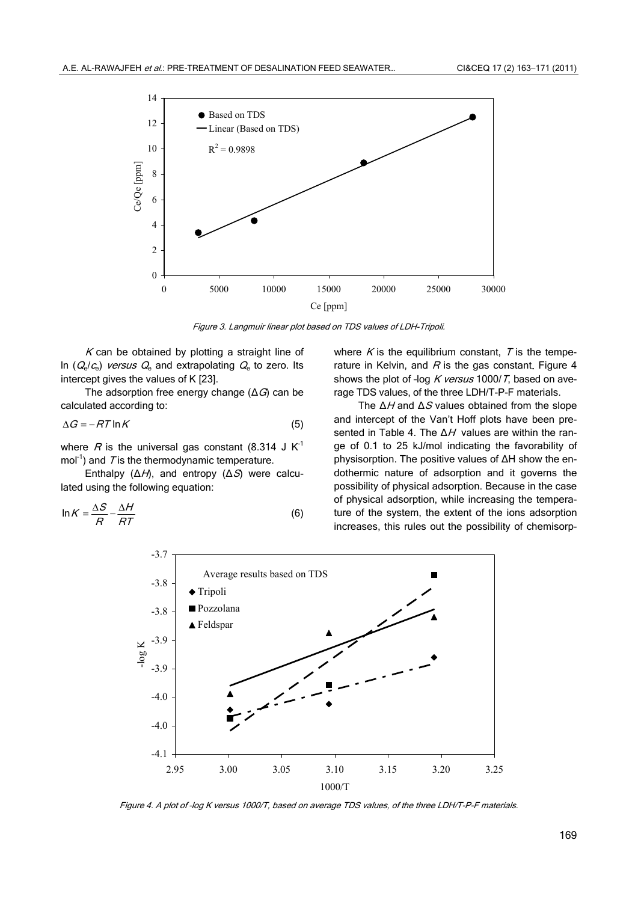

Figure 3. Langmuir linear plot based on TDS values of LDH-Tripoli.

 $K$  can be obtained by plotting a straight line of In  $(Q_e/C_e)$  versus  $Q_e$  and extrapolating  $Q_e$  to zero. Its intercept gives the values of K [23].

The adsorption free energy change  $(\Delta G)$  can be calculated according to:

$$
\Delta G = -RT \ln K \tag{5}
$$

where R is the universal gas constant (8.314 J  $K^{-1}$ mol<sup>-1</sup>) and  $T$  is the thermodynamic temperature.

Enthalpy  $(\Delta H)$ , and entropy  $(\Delta S)$  were calculated using the following equation:

$$
\ln K = \frac{\Delta S}{R} - \frac{\Delta H}{RT}
$$
 (6)

where  $K$  is the equilibrium constant,  $T$  is the temperature in Kelvin, and  $R$  is the gas constant. Figure 4 shows the plot of -log  $K$  versus 1000/T, based on average TDS values, of the three LDH/T-P-F materials.

The  $\Delta H$  and  $\Delta S$  values obtained from the slope and intercept of the Van't Hoff plots have been presented in Table 4. The  $\Delta H$  values are within the range of 0.1 to 25 kJ/mol indicating the favorability of physisorption. The positive values of ΔH show the endothermic nature of adsorption and it governs the possibility of physical adsorption. Because in the case of physical adsorption, while increasing the temperature of the system, the extent of the ions adsorption increases, this rules out the possibility of chemisorp-



Figure 4. A plot of –log K versus 1000/T, based on average TDS values, of the three LDH/T-P-F materials.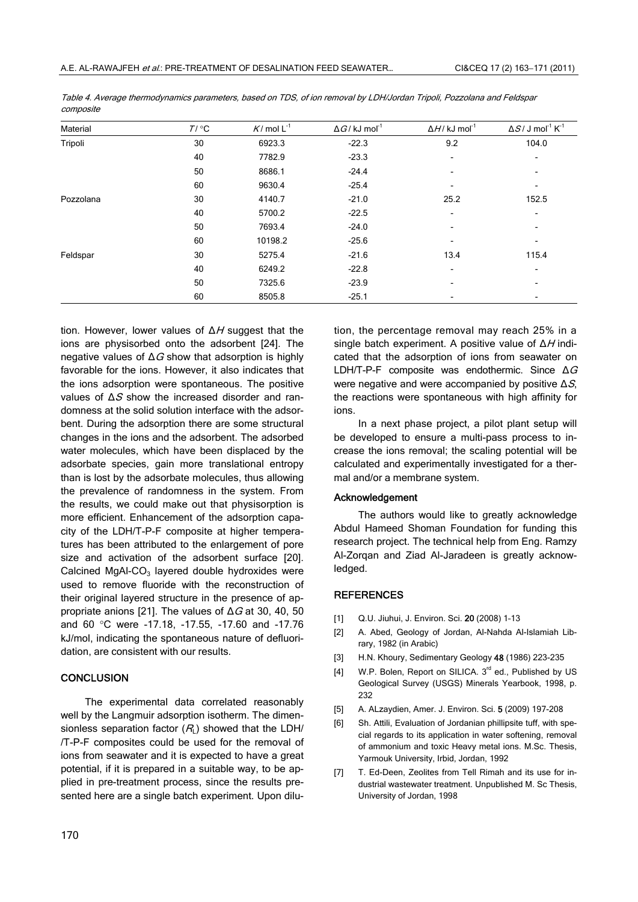| Material  | $T / {}^{\circ}C$ | $K/mol L-1$ | $\Delta G$ / kJ mol <sup>-1</sup> | $\Delta H$ / kJ mol <sup>-1</sup> | $\Delta S$ / J mol <sup>-1</sup> K <sup>-1</sup> |
|-----------|-------------------|-------------|-----------------------------------|-----------------------------------|--------------------------------------------------|
| Tripoli   | 30                | 6923.3      | $-22.3$                           | 9.2                               | 104.0                                            |
|           | 40                | 7782.9      | $-23.3$                           |                                   |                                                  |
|           | 50                | 8686.1      | $-24.4$                           |                                   |                                                  |
|           | 60                | 9630.4      | $-25.4$                           | $\overline{\phantom{0}}$          | ٠                                                |
| Pozzolana | 30                | 4140.7      | $-21.0$                           | 25.2                              | 152.5                                            |
|           | 40                | 5700.2      | $-22.5$                           |                                   |                                                  |
|           | 50                | 7693.4      | $-24.0$                           |                                   |                                                  |
|           | 60                | 10198.2     | $-25.6$                           |                                   |                                                  |
| Feldspar  | 30                | 5275.4      | $-21.6$                           | 13.4                              | 115.4                                            |
|           | 40                | 6249.2      | $-22.8$                           | $\overline{\phantom{a}}$          |                                                  |
|           | 50                | 7325.6      | $-23.9$                           |                                   | $\overline{\phantom{0}}$                         |
|           | 60                | 8505.8      | $-25.1$                           |                                   |                                                  |

Table 4. Average thermodynamics parameters, based on TDS, of ion removal by LDH/Jordan Tripoli, Pozzolana and Feldspar composite

tion. However, lower values of  $\Delta H$  suggest that the ions are physisorbed onto the adsorbent [24]. The negative values of  $\Delta G$  show that adsorption is highly favorable for the ions. However, it also indicates that the ions adsorption were spontaneous. The positive values of  $ΔS$  show the increased disorder and randomness at the solid solution interface with the adsorbent. During the adsorption there are some structural changes in the ions and the adsorbent. The adsorbed water molecules, which have been displaced by the adsorbate species, gain more translational entropy than is lost by the adsorbate molecules, thus allowing the prevalence of randomness in the system. From the results, we could make out that physisorption is more efficient. Enhancement of the adsorption capacity of the LDH/T-P-F composite at higher temperatures has been attributed to the enlargement of pore size and activation of the adsorbent surface [20]. Calcined MgAl-CO<sub>3</sub> layered double hydroxides were used to remove fluoride with the reconstruction of their original layered structure in the presence of appropriate anions [21]. The values of  $\Delta G$  at 30, 40, 50 and 60 °C were -17.18, -17.55, -17.60 and -17.76 kJ/mol, indicating the spontaneous nature of defluoridation, are consistent with our results.

## **CONCLUSION**

The experimental data correlated reasonably well by the Langmuir adsorption isotherm. The dimensionless separation factor  $(R<sub>L</sub>)$  showed that the LDH/ /T-P-F composites could be used for the removal of ions from seawater and it is expected to have a great potential, if it is prepared in a suitable way, to be applied in pre-treatment process, since the results presented here are a single batch experiment. Upon dilution, the percentage removal may reach 25% in a single batch experiment. A positive value of  $\Delta H$  indicated that the adsorption of ions from seawater on LDH/T-P-F composite was endothermic. Since  $\Delta G$ were negative and were accompanied by positive  $\Delta S$ , the reactions were spontaneous with high affinity for ions.

In a next phase project, a pilot plant setup will be developed to ensure a multi-pass process to increase the ions removal; the scaling potential will be calculated and experimentally investigated for a thermal and/or a membrane system.

### Acknowledgement

The authors would like to greatly acknowledge Abdul Hameed Shoman Foundation for funding this research project. The technical help from Eng. Ramzy Al-Zorqan and Ziad Al-Jaradeen is greatly acknowledged.

## **REFERENCES**

- [1] Q.U. Jiuhui, J. Environ. Sci. 20 (2008) 1-13
- [2] A. Abed, Geology of Jordan, Al-Nahda Al-Islamiah Library, 1982 (in Arabic)
- [3] H.N. Khoury, Sedimentary Geology 48 (1986) 223-235
- [4] W.P. Bolen, Report on SILICA. 3<sup>rd</sup> ed., Published by US Geological Survey (USGS) Minerals Yearbook, 1998, p. 232
- [5] A. ALzaydien, Amer. J. Environ. Sci. 5 (2009) 197-208
- [6] Sh. Attili, Evaluation of Jordanian phillipsite tuff, with special regards to its application in water softening, removal of ammonium and toxic Heavy metal ions. M.Sc. Thesis, Yarmouk University, Irbid, Jordan, 1992
- [7] T. Ed-Deen, Zeolites from Tell Rimah and its use for industrial wastewater treatment. Unpublished M. Sc Thesis, University of Jordan, 1998